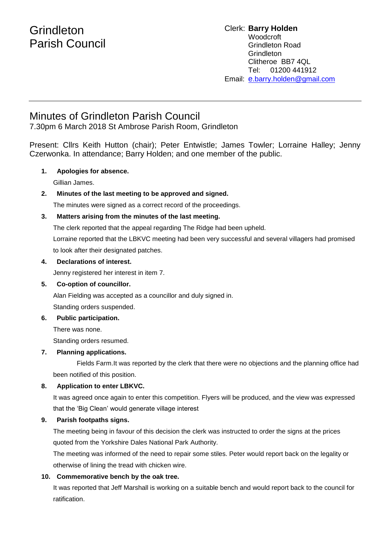# **Grindleton** Parish Council

#### Clerk: **Barry Holden** Woodcroft Grindleton Road **Grindleton** Clitheroe BB7 4QL Tel: 01200 441912 Email: [e](mailto:edwardbholden@yahoo.co.uk).barry.holden@gmail.com

# Minutes of Grindleton Parish Council

7.30pm 6 March 2018 St Ambrose Parish Room, Grindleton

Present: Cllrs Keith Hutton (chair); Peter Entwistle; James Towler; Lorraine Halley; Jenny Czerwonka. In attendance; Barry Holden; and one member of the public.

# **1. Apologies for absence.**

Gillian James.

**2. Minutes of the last meeting to be approved and signed.** The minutes were signed as a correct record of the proceedings.

# **3. Matters arising from the minutes of the last meeting.**

The clerk reported that the appeal regarding The Ridge had been upheld.

Lorraine reported that the LBKVC meeting had been very successful and several villagers had promised to look after their designated patches.

### **4. Declarations of interest.**

Jenny registered her interest in item 7.

# **5. Co-option of councillor.**

Alan Fielding was accepted as a councillor and duly signed in. Standing orders suspended.

#### **6. Public participation.**

There was none. Standing orders resumed.

#### **7. Planning applications.**

Fields Farm.It was reported by the clerk that there were no objections and the planning office had been notified of this position.

# **8. Application to enter LBKVC.**

It was agreed once again to enter this competition. Flyers will be produced, and the view was expressed that the 'Big Clean' would generate village interest

# **9. Parish footpaths signs.**

The meeting being in favour of this decision the clerk was instructed to order the signs at the prices quoted from the Yorkshire Dales National Park Authority.

The meeting was informed of the need to repair some stiles. Peter would report back on the legality or otherwise of lining the tread with chicken wire.

# **10. Commemorative bench by the oak tree.**

It was reported that Jeff Marshall is working on a suitable bench and would report back to the council for ratification.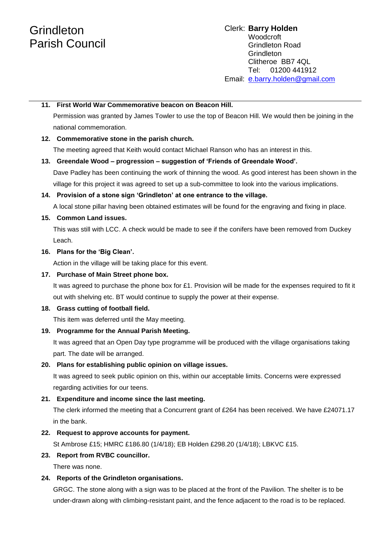# **Grindleton** Parish Council

#### Clerk: **Barry Holden** Woodcroft Grindleton Road **Grindleton** Clitheroe BB7 4QL Tel: 01200 441912 Email: [e](mailto:edwardbholden@yahoo.co.uk).barry.holden@gmail.com

#### **11. First World War Commemorative beacon on Beacon Hill.**

Permission was granted by James Towler to use the top of Beacon Hill. We would then be joining in the national commemoration.

#### **12. Commemorative stone in the parish church.**

The meeting agreed that Keith would contact Michael Ranson who has an interest in this.

#### **13. Greendale Wood – progression – suggestion of 'Friends of Greendale Wood'.**

Dave Padley has been continuing the work of thinning the wood. As good interest has been shown in the village for this project it was agreed to set up a sub-committee to look into the various implications.

#### **14. Provision of a stone sign 'Grindleton' at one entrance to the village.**

A local stone pillar having been obtained estimates will be found for the engraving and fixing in place.

#### **15. Common Land issues.**

This was still with LCC. A check would be made to see if the conifers have been removed from Duckey Leach.

#### **16. Plans for the 'Big Clean'.**

Action in the village will be taking place for this event.

#### **17. Purchase of Main Street phone box.**

It was agreed to purchase the phone box for £1. Provision will be made for the expenses required to fit it out with shelving etc. BT would continue to supply the power at their expense.

#### **18. Grass cutting of football field.**

This item was deferred until the May meeting.

#### **19. Programme for the Annual Parish Meeting.**

It was agreed that an Open Day type programme will be produced with the village organisations taking part. The date will be arranged.

#### **20. Plans for establishing public opinion on village issues.**

It was agreed to seek public opinion on this, within our acceptable limits. Concerns were expressed regarding activities for our teens.

#### **21. Expenditure and income since the last meeting.**

The clerk informed the meeting that a Concurrent grant of £264 has been received. We have £24071.17 in the bank.

#### **22. Request to approve accounts for payment.**

St Ambrose £15; HMRC £186.80 (1/4/18); EB Holden £298.20 (1/4/18); LBKVC £15.

#### **23. Report from RVBC councillor.**

There was none.

#### **24. Reports of the Grindleton organisations.**

GRGC. The stone along with a sign was to be placed at the front of the Pavilion. The shelter is to be under-drawn along with climbing-resistant paint, and the fence adjacent to the road is to be replaced.